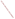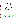

## **Environmental Technology Verification Program** Advanced Monitoring Systems Center

Generic Verification Protocol for Mercury Continuous Emission Monitors at a Full-Scale Waste Incinerator

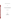### **GENERIC VERIFICATION PROTOCOL**

**FOR** 

### **MERCURY CONTINUOUS EMISSION MONITORS AT A FULL-SCALE WASTE INCINERATOR**

**September 2003** 

**Prepared by** 

**Battelle 505 King Avenue Columbus, OH 43201-2693**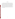### **FOREWORD**

This generic verification protocol is based upon a peer-reviewed specific test/quality assurance (QA) plan entitled "Test/QA Plan for Field Demonstration of Mercury Continuous Emission Monitors at the TSCA Incinerator," Rev. 3 (dated June 19, 2002). The test/QA plan was developed with vendor and stakeholder input by the ETV Advanced Monitoring Systems (AMS) Center. Peer reviewers for the test/QA plan were AMS Center stakeholders Philip Galvin, Will Ollison, and Roy Owens and Jeff Ryan of EPA's National Risk Management Research Laboratory. In preparing this generic verification protocol, specific names of individuals involved, technology vendors and technologies, test dates, and similar details in the test/QA plan were revised to be generic. The experimental design in the protocol is the same as that in the peer-reviewed test/QA plan.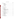### **TABLE OF CONTENTS**

| $\mathbf{1}$   | 1.1<br>1.2<br>1.3<br>1.4 | 1.4.1<br>1.4.2<br>1.4.3<br>1.4.4<br>1.4.5 |
|----------------|--------------------------|-------------------------------------------|
|                |                          |                                           |
|                |                          |                                           |
|                |                          |                                           |
|                |                          |                                           |
|                |                          |                                           |
|                |                          |                                           |
|                |                          |                                           |
|                |                          |                                           |
|                |                          |                                           |
|                |                          |                                           |
| $\overline{2}$ |                          |                                           |
|                | 2.1                      |                                           |
|                | 2.2                      |                                           |
| 3              |                          |                                           |
|                | 3.1                      |                                           |
|                | 3.2                      |                                           |
|                | 3.3                      |                                           |
|                | 3.4                      |                                           |
|                | 3.5                      |                                           |
|                | 3.6                      |                                           |
|                | 3.7                      |                                           |
|                |                          |                                           |
| $\overline{4}$ |                          |                                           |
|                | 4.1                      |                                           |
|                | 4.2                      |                                           |
|                | 4.3                      |                                           |
|                | 4.4                      |                                           |
|                | 4.5                      |                                           |
|                | 4.6                      |                                           |
|                | 4.7                      |                                           |
|                | 4.8                      |                                           |
|                | 4.9                      |                                           |
|                | 4.10                     |                                           |
| 5              |                          |                                           |
|                | 5.1                      |                                           |
|                | 5.2                      |                                           |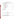### **TABLE OF CONTENTS (CONTINUED)**

|     | 5.3 |                                                                         |  |  |  |  |
|-----|-----|-------------------------------------------------------------------------|--|--|--|--|
|     | 5.4 | Mercury Spiking Standard for Reference Method Performance Evaluation 29 |  |  |  |  |
|     | 5.5 |                                                                         |  |  |  |  |
|     | 5.6 |                                                                         |  |  |  |  |
|     | 5.7 |                                                                         |  |  |  |  |
| 6   |     |                                                                         |  |  |  |  |
|     | 6.1 |                                                                         |  |  |  |  |
|     |     | 6.1.1                                                                   |  |  |  |  |
|     |     | 6.1.2                                                                   |  |  |  |  |
|     |     | 6.1.3                                                                   |  |  |  |  |
|     | 6.2 |                                                                         |  |  |  |  |
|     |     | 6.2.1                                                                   |  |  |  |  |
|     |     | 6.2.2                                                                   |  |  |  |  |
|     |     | 6.2.3                                                                   |  |  |  |  |
|     |     | 6.2.4                                                                   |  |  |  |  |
|     |     | 6.2.5                                                                   |  |  |  |  |
| 7   |     |                                                                         |  |  |  |  |
| 7.1 |     |                                                                         |  |  |  |  |
|     | 7.2 |                                                                         |  |  |  |  |
|     | 7.3 |                                                                         |  |  |  |  |
| 8   |     |                                                                         |  |  |  |  |
| 9   |     |                                                                         |  |  |  |  |

### **List of Figures**

| Figure 2. Schematic of Example Test Facility Incinerator and Off-Gas Cleaning System  10 |
|------------------------------------------------------------------------------------------|

### **List of Tables**

| Table 4. Data Requirements for Mercury CEM Performance Evaluation 20 |  |
|----------------------------------------------------------------------|--|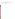### **TABLE OF CONTENTS (CONTINUED)**

| Table 5. Example Table Showing Extent of Down Time and Service Time for CEMS  27 |  |
|----------------------------------------------------------------------------------|--|
|                                                                                  |  |
|                                                                                  |  |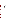### **ACRONYMS**

| $\mu$ g         | microgram                                      |
|-----------------|------------------------------------------------|
| <b>AMS</b>      | <b>Advanced Monitoring Systems</b>             |
| <b>CEM</b>      | continuous emission monitor                    |
| CO              | carbon monoxide                                |
| CO <sub>2</sub> | carbon dioxide                                 |
| dscm            | dry standard cubic meter                       |
| <b>EPA</b>      | <b>Environmental Protection Agency</b>         |
| <b>ETV</b>      | <b>Environmental Technology Verification</b>   |
| $Hg^{\circ}$    | elemental mercury                              |
| $Hg_{ox}$       | oxidized mercury                               |
| $Hg_T$          | total mercury                                  |
| <b>NIST</b>     | National Institute of Standards and Technology |
| O <sub>2</sub>  | oxygen                                         |
| <b>OH</b>       | Ontario Hydro                                  |
| <b>PCB</b>      | polychlorinated biphenyl                       |
| PE              | performance evaluation                         |
| ppb             | parts per billion                              |
| $PS-12$         | Performance Specification 12                   |
| QA              | quality assurance                              |
| QC              | quality control                                |
| QMP             | <b>Quality Management Plan</b>                 |
| <b>RA</b>       | relative accuracy                              |
| <b>RCRA</b>     | <b>Resource Conservation and Recovery Act</b>  |
| <b>RFA/COC</b>  | Request for analysis/chain of custody          |
| <b>RSD</b>      | relative standard deviation                    |
| <b>TSA</b>      | technical systems audit                        |
| <b>TSCAI</b>    | <b>TSCA</b> Incinerator                        |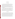### **1 INTRODUCTION**

### **1.1 Test Description**

This protocol provides generic procedures for implementing a verification test and test/quality assurance (QA) plan for continuous emission monitors (CEMs) used to measure gaseous concentrations of mercury from the thermal treatment of waste. Verification tests are conducted under the auspices of the U.S. Environmental Protection Agency's (EPA) Environmental Technology Verification (ETV) program. The purpose of ETV is to provide objective and quality-assured performance data on environmental technologies, so that users, developers, regulators, and consultants have an independent and credible assessment of what they are buying and permitting.

Verification tests of monitoring technologies are coordinated by Battelle, of Columbus, Ohio, which is EPA's verification partner for the ETV Advanced Monitoring Systems (AMS) Center. The scope of the AMS Center covers verification of monitoring methods for contaminants and natural species in air, water, and soil. In performing verification tests, Battelle follows the procedures specified in this protocol and complies with quality requirements in the "Quality Management Plan for the ETV Advanced Monitoring Systems Center"  $(QMP)$ .<sup>(1)</sup>

### **1.2 Test Objective**

The purpose of a verification test generated from this protocol is to provide quantitative verification of the performance of mercury CEMs in a field installation setting while monitoring emissions that were generated from the thermal treatment of actual waste. The test facility may be a full-scale municipal, medical, or specialized mixed waste incinerator. The Toxic Substances Control Act Incinerator (TSCAI) at the East Tennessee Technology Park in Oak Ridge, Tennessee, is used as an example test facility in this generic protocol. The TSCAI holds federal and state permits and agreements to incinerate mixed waste, which consists of low-level radioactive and Resource Conservation and Recovery Act (RCRA) hazardous (mixed) wastes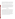contaminated with polychlorinated biphenyls (PCBs). It is the only operational incinerator in the United States that can process PCB-containing hazardous and radioactive waste. The TSCAI currently monitors oxygen  $(O_2)$ , carbon monoxide  $(CO)$ , carbon dioxide  $(CO_2)$ , and radionuclide emissions as required by permit. A developmental system for monitoring metals emissions is also in use.

The mercury CEMs shall be challenged by stack gases generated from the thermal treatment of a variety of actual wastes in a full-scale facility. Depending on the levels of mercury present in the waste, mercury may be injected into the incinerator combustion chambers to adjust the concentration level in the stack for testing purposes. CEM responses shall be compared with reference mercury measurements of total  $(Hg_T)$ , oxidized  $(Hg_{ox})$ , and elemental mercury  $(Hg^{\circ})$ . Mercury standard gases shall be used to challenge the CEMs for calibration purposes, and the stability of the standards themselves shall be evaluated.

### **1.3 Scope of Work**

Since mercury CEMs are a relatively new group of instruments, procedures to assess their performance were not fully established at the time this protocol was written. The EPA had published draft Performance Specification 12 (PS-12) as a proposed description of how to assess the acceptability of newly installed mercury CEMs.<sup>(2)</sup> However, draft PS-12 is patterned after performance specifications for CEMs for other pollutants, such as sulfur dioxide and nitrogen oxides, and, as a result, includes requirements that may be inappropriate or not feasible for mercury CEMs. The ETV program does not set performance criteria, nor draw pass/fail conclusions on the basis of such criteria, but ETV testing is intended to provide information that is relevant to real-world performance needs. Therefore, the performance parameters addressed by a mercury CEM verification test under this protocol are intended to meet the spirit of quantitative and qualitative performance requirements raised in PS-12.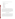The following performance parameters shall be addressed by the verification test:

- Relative accuracy
- Correlation with reference method results
- Precision
- Sampling system bias
- Calibration drift
- Zero drift
- Calibration error
- Response time
- Data completeness
- Operational factors.

Relative accuracy, correlation with the reference method results, and precision (i.e., repeatability at stable test conditions) shall be assessed for Hg<sub>T</sub>; and, if feasible, for Hg<sub>ox</sub> and Hg<sup>o</sup> in the stack gas emissions. Sampling system bias, calibration and zero drift, response time, and calibration error shall be assessed for Hg° only, using commercial compressed gas standards of Hg°. The basis for establishing the quantitative performance of the tested technologies shall be the Ontario Hydro (OH) method<sup>(3)</sup> a standard method of measurement currently recognized as the most suitable procedure for speciation of  $Hg_T$ ,  $Hg_{ox}$ , and  $Hg^{\circ}$  in source emissions.

### **1.4 Roles and Responsibilities**

Verification tests are performed by Battelle in cooperation with EPA and the vendors whose CEMs are being verified. The test procedures may be performed by Battelle, test facility staff, or a qualified subcontractor. An organization chart for the verification test is shown in Figure 1. Vendor representatives should be present during installation of the CEMs to oversee installation and train testing staff in the routine operation and maintenance of the CEMs. It is also recommended that vendors be present during initial and final weeks of CEM performance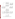

**Figure 1. Organization Chart for Mercury CEM Verification Test**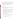monitoring to ensure optimal operation of the CEMs for comparison with reference samples and calibration gas standards. Otherwise, routine daily operation and maintenance of the CEMs, as well as data logging, may be administered by a dedicated on-site technician provided by Battelle, the test facility, or a subcontractor. Throughout this protocol, reference to a test facility's role and responsibilities are representative of any suitably qualified test facility.

Specific responsibilities in each of several areas for verification within ETV are detailed in the following paragraphs.

### **1.4.1 Battelle**

The AMS Center's Verification Test Coordinator has overall responsibility for ensuring that the technical goals, schedule, and budget established for the verification test are met. More specifically, the Verification Test Coordinator shall

- Serve as Battelle's primary point of contact for vendor and test facility representatives
- Coordinate with the test facility to conduct the verification test, including establishing a subcontract as necessary
- Ensure that procedures in this protocol are followed during the verification test
- Prepare draft verification reports and verification statements, revise according to reviewer comments, and be responsible for distribution of final copies
- Coordinate with the test facility, including collection and review of all data provided by the test facility.
- Respond to any issues raised in assessment reports and audits, including instituting corrective action as necessary
- Ensure that vendor confidentiality is maintained.

The Verification Testing Leader for the AMS Center provides technical guidance and oversees the various stages of the verification test. The Verification Testing Leader shall

- Support the Verification Test Coordinator in organizing the test
- Review the draft verification reports and statements.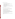### The Battelle AMS Center Manager shall

- Review the draft verification reports and statements
- Ensure that necessary Battelle resources, including staff and facilities, are committed to the verification test
- Ensure that vendor confidentiality is maintained
- Support Verification Test Coordinator in responding to any issues raised in assessment reports and audits
- Maintain communication with the EPA AMS Center Manager and EPA AMS Center Quality Manager.

The Battelle Quality Manager for the verification test shall

- Conduct a technical systems audit (TSA) once during the verification test
- Review results of performance evaluation audit(s) specified in this protocol
- Audit at least  $10\%$  of the verification data
- Prepare and distribute an assessment report for each audit
- Verify implementation of any necessary corrective action
- Issue a stop work order if internal audits indicate that data quality is being compromised; notify Battelle's AMS Center Manager if such an order is issued
- Provide a summary of the audit activities and results for the verification reports
- Review the draft verification reports and statements
- Interface with test facility QA staff
- Ensure that all quality procedures specified in this protocol and in the  $QMP<sup>(1)</sup>$  are followed.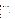The responsibilities of the test facility personnel are to

- Identify a point of contact for the test who will serve as the primary interface with the Verification Test Coordinator
- Coordinate test facility involvement in the verification test in accordance with this protocol
- Ensure that necessary test facility resources are committed to the verification test
- Assemble and oversee trained technical staff to operate the incinerator during the verification test; provide incinerator monitoring equipment
- Ensure that the incinerator is fully functional prior to the times and dates of the verification test and that operating conditions and procedures for the incinerator are recorded during the verification test
- Review and approve all data and records related to incinerator operation
- Provide daily on-site support (e.g., access to telephone or office facilities; basic laboratory supplies) to vendor, EPA, and Battelle representatives as needed
- Review the draft verification report and statement.

### **1.4.3 Vendors**

Vendor representatives shall

- Document acceptance of the test procedures specified in this protocol prior to the test
- Interface with the Battelle Verification Test Coordinator to make all arrangements for the verification test
- Sign an AMS Center vendor agreement for the verification process and pay a verification fee that will partially cover the costs of the testing
- Provide a CEM for the duration of the verification test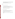- Commit a trained technical representative to operate, maintain, and repair the CEMs throughout the verification test or train testing staff to perform these tasks and sign a consent form indicating training occurred
- Review their respective draft ETV verification report and statement.

### **1.4.4 EPA**

EPA's AMS Center Quality Manager shall

- Perform, at EPA's option, one external TSA during the verification test
- Notify the EPA AMS Center Manager to facilitate a stop work order if the external audit indicates that data quality is being compromised
- Prepare and distribute an assessment report summarizing results of any external audit
- Review the draft verification reports and statements.

EPA's AMS Center Manager shall

- Notify Battelle's AMS Center Manager if a stop work order is warranted, based on data quality issues identified by the EPA AMS Center Quality Manager
- Review the draft ETV verification reports and statements
- Oversee the EPA review process on the draft test/QA plan, reports, and verification statements
- Coordinate the submission of ETV verification reports and statements for final EPA approval.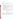### **1.4.5 Testing Staff**

Testing staff will be provided by Battelle, the test facility, and/or a qualified subcontractor. Responsibilities of testing staff may include

- Observe and document, as necessary, operation of the CEMs during unattended operation
- Conduct all experimental procedures specified in this protocol, including reference method sampling and analysis
- Document any repairs and maintenance conducted on the CEMs, including description of repair and maintenance performed, vendor time required to perform repair or maintenance, and amount of CEM down time.
- Convert CEM and reference data from electronic spreadsheet format into appropriate file format for statistical evaluation
- Assist in the performance of TSAs, performance audits, and pre-test facility reviews by the Battelle and EPA Quality Managers
- Perform such audits and data reviews as are necessary to assure data quality in all verification testing
- Assist the Verification Test Coordinator in responding to any issues raised in assessment reports and audits, including instituting corrective action as necessary
- Assist vendors or trained operator in setting up the CEMs for verification tests.

### **2 TEST FACILITY**

The test facility shall be designed and permitted for receiving, sorting, storing, preparing, and thermally destroying waste. A schematic of the TSCAI is shown in Figure 2 as an example of a type of facility that may be used to perform verification tests of mercury CEMS. At the TSCAI, these wastes are treated in a rotary kiln incinerator with a secondary combustion chamber and off-gas treatment system for cleaning combustion effluent gases.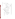## US EPA ARCHIVE DOCUMENT



**Figure 2. Schematic of Example Test Facility Incinerator and Off-Gas Cleaning System**  Figure 2. Schematic of Example Test Facility Incinerator and Off-Gas Cleaning System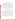### **2.1 Incineration Process**

Although not the only type, one type of incineration process uses a rotary kiln as at the TSCAI. This kiln receives and thermally processes solid and non-pumpable sludge wastes. The kiln is fired by an auxiliary natural gas burner to maintain a minimum combustion temperature and ensure stable combustion of liquids. Steam atomizes the waste fed through the burners. A mixing chamber separates the primary combustion chamber (rotary kiln) and the secondary combustion chamber, collects the flue gases and ash discharged from the rotary kiln, and passes the hot flue gases into the secondary combustion system. An ash handling system conveys ash and residue from a water-filled trough beneath the mixing chamber to an ash hopper for subsequent disposal. The secondary combustion system receives hot process gases from the mixing chamber. The secondary combustion chamber also can accept wastes pumped from primary liquid waste feed tanks, from a fuel oil tank, or directly from a tanker. After secondary combustion, the off-gases pass through a refractory-lined duct into an off-gas cleaning system.

### **2.2 Off-Gas Cleaning System**

In the example TSCAI test facility, a quench chamber receives and cools the hot flue gas from the secondary combustion chamber. A venturi scrubber receives the cooled and water-saturated flue gas and removes particulates. A mist eliminator between the venturi scrubber and a packed-bed scrubber removes the entrained water from the saturated flue gas and minimizes interference with the cross-flow liquid/gas flow in the packed-bed scrubber. From the mist eliminator, effluents flow by gravity to a quench tank. The packed-bed scrubber removes additional soluble and reactive acid gases. Recirculated scrubber water irrigates the packing. A water recycle system serving ionizing wet scrubbers provides the recycle water. The ionizing wet scrubbers remove fine particulates of less than  $1 \mu m$  from the flue gas stream. From the flow control damper section at the outlet of the ionizing wet scrubber, the flue gas stream passes to an induced-draft fan. The induced-draft fan pulls the combustion and flue gases through the incineration and process gas cleaning systems at subatmospheric pressure. A stack receives the water-saturated flue gas and vents it to the atmosphere.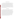### **3 EXPERIMENTAL DESIGN**

A mercury CEM verification test generated from this protocol will take between six to nine months, as seen in Table 1. Test planning and site preparation shall take place over a period of three to four months. Field testing, involving the installation and testing of the mercury CEMs, shall be conducted over about a three-month period at the test facility. The CEMs go through a start-up and shakedown period, followed by the initial performance monitoring during the first month of field activities. The CEMs then operate for six to nine weeks with minimal attention. The final performance monitoring takes place during the last week of the field test. Field activities are concluded with removal of the CEMs from the facility. The final phase of the test consists of reduction of the data and report preparation. The primary activities are described in further detail in the following sections.

### **3.1 Mercury CEMs**

CEMs for mercury are typically designed to determine  $Hg_T$  and/or chemically speciated mercury in combustion source emissions. Strictly speaking,  $Hg_T$  is the sum of mercury in all phases and chemical forms in the combustion gas, including  $Hg^{\circ}$ ,  $Hg_{\text{ox}}$  (primarily mercuric chloride) vapors, and particulate-phase mercury. However, most commercial mercury CEMs do not measure particulate-phase mercury; instead, they filter out particulate matter and measure the total of the vapor-phase mercury species. As a result, in this protocol  $Hg_T$  represents the total of all vapor-phase mercury species. (Should verification be conducted on a CEM that determines particulate-phase mercury, then the strict definition of  $Hg_T$  must be employed.) Commercial CEMs may also provide chemical speciation data, i.e., the  $Hg_T$  and  $Hg<sup>o</sup>$  (or  $Hg_{ox}$  and  $Hg<sup>o</sup>$ ) fractions of the mercury vapor species may be determined separately. This separation is commonly accomplished by a difference measurement, in which  $Hg_{ox}$  is intermittently or continuously chemically or thermally reduced to Hg° for detection.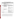|                  | <b>Verification Test Activity</b><br><b>Test Planning and Site Preparation</b><br>Identify test facility<br>Sign up vendors<br>Procure mercury calibration gases<br>Prepare specification for data acquisition system and procure the system<br>Establish facility interfaces with mercury CEMs<br>Set up data acquisition system |                                                                                                                                                                                |  |
|------------------|-----------------------------------------------------------------------------------------------------------------------------------------------------------------------------------------------------------------------------------------------------------------------------------------------------------------------------------|--------------------------------------------------------------------------------------------------------------------------------------------------------------------------------|--|
| <b>Month</b>     |                                                                                                                                                                                                                                                                                                                                   |                                                                                                                                                                                |  |
| NA               |                                                                                                                                                                                                                                                                                                                                   |                                                                                                                                                                                |  |
|                  | <b>CEM Field Activities</b>                                                                                                                                                                                                                                                                                                       | <b>Data Analysis and Reporting</b>                                                                                                                                             |  |
| 1                | Set up/install mercury CEMs<br>CEMs startup/shakedown<br>Initial performance monitoring<br>Unattended CEMs operation                                                                                                                                                                                                              | Sample analysis - Initial performance<br>monitoring                                                                                                                            |  |
| $\overline{2}$   | Unattended CEMs operation                                                                                                                                                                                                                                                                                                         | Data reduction - Initial performance<br>monitoring<br>Evaluate initial performance monitoring<br>results<br>Adjust procedures if necessary for final<br>performance monitoring |  |
| 3                | Unattended CEMs operation<br>Final performance monitoring<br><b>Demobilize CEMs</b>                                                                                                                                                                                                                                               | <b>NA</b>                                                                                                                                                                      |  |
| $\overline{4}$   | NA                                                                                                                                                                                                                                                                                                                                | Sample analysis - Final performance<br>monitoring<br>Evaluate final performance monitoring<br>results                                                                          |  |
| $\overline{5,6}$ | <b>NA</b>                                                                                                                                                                                                                                                                                                                         | Prepare and issue draft report and<br>verification statement                                                                                                                   |  |
| 7,8              | <b>NA</b>                                                                                                                                                                                                                                                                                                                         | Distribute ETV verification reports for<br>vendor, EPA, and peer review                                                                                                        |  |
| 9                | <b>NA</b>                                                                                                                                                                                                                                                                                                                         | Finalize and issue ETV verification reports                                                                                                                                    |  |

### **Table 1. Schedule for Mercury CEM Verification Test**

The commercial mercury CEMs also use a variety of final analytical approaches to detect mercury. Cold vapor atomic absorption spectroscopy, cold vapor atomic fluorescence spectroscopy, and differential optical absorption spectroscopy are all used, but can detect only  $Hg^{\circ}$ , and so require the speciation approaches outlined above to determine  $Hg_{\text{ox}}$ . Atomic emission spectroscopy can also be used. In this technique, all forms of mercury, including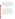particulate mercury, are converted to Hg° and detected equally. This approach provides a true  $Hg_T$  measurement, but does not provide any information on speciation.

The CEMs tested according to this protocol may be verified for their measurement of any and all of the applicable mercury components listed above. For example, a CEM that determines total vapor phase mercury and  $Hg^{\circ}$ , and by difference determines  $Hg_{\alpha}$ , may be evaluated for measurements of all three components. In the United States, emission regulations on combustion sources are expected to address only  $Hg_T$ . However, there are valuable non-regulatory uses of mercury speciation data; therefore, speciation capabilities of the CEMs shall be evaluated if the degree of speciation is great enough to produce quantifiable measurements of various forms of mercury.

### **3.2 Reference Method**

The performance of the mercury CEMs shall be evaluated by comparison against mercury measurements made using the OH reference method. The OH reference method is designed for determination of Hg $\textdegree$ , Hg<sub>ox</sub>, particle-bound mercury, and Hg<sub>T</sub> emissions from coal-fired and other stationary sources. This method is applicable to  $Hg^{\circ}$ ,  $Hg_{\text{ox}}$ , particle-bound mercury, and  $Hg_T$  concentrations ranging from approximately 0.5 to 100 micrograms per dry standard cubic meter ( $\mu$ g/dscm). The method involves withdrawing a gas sample from the flue gas stream isokinetically through a probe/filter system, followed by a series of impingers. Particle-bound mercury is collected in the front half of the sampling train.  $Hg_{\alpha x}$  is collected in the first impingers, which contain a chilled aqueous potassium chloride solution. Hg° is collected in subsequent impingers, which contain hydrogen peroxide solution and potassium permanganate solution. Samples are recovered, digested, and then analyzed for mercury using cold-vapor atomic absorption or fluorescent spectroscopy.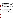### **3.3 Equipment Setup and CEM Installation**

Each of the mercury CEMs shall have a dedicated sampling port on the stack. Vendorsupplied extractive sampling probes shall be connected to the CEMS by means of heated Teflon sample lines. Trained and experienced site personnel shall install the vendor-supplied extractive probes and run the heated Teflon sample lines to the CEM cabinets. If they so choose, the vendors may provide their own heated sample line if they have special requirements or use a patented system.

Vendor representatives shall be present to oversee the installation of the mercury CEMs; field technicians shall install the probes in the stack. Test facility maintenance staff shall support setup and installation of the field hardware.

### **3.4 Start-up/Shakedown**

Vendors have the option of being on site for the entire test or to train an operator. At a minimum, vendor representatives shall be on hand to start up the CEMs. The vendor representatives should plan to spend about one week in shaking down the CEMs and training a dedicated field technician in operating, calibrating, and servicing the units. Mercury calibration gas standards shall be introduced during the shakedown period, and a baseline response from the CEMs using the mercury standards shall be obtained while the vendors are present. Routine calibrations shall be performed to ensure proper setup and operation of the CEMs and to train the dedicated field technicians in calibration procedures. Adequate time shall be provided to the vendors during the shakedown period to troubleshoot any problems that occur before proceeding to performance monitoring.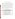### **3.5 CEM Performance Monitoring Schedule**

Performance monitoring using mercury calibration gas standards and OH reference method measurements shall be conducted immediately following the shakedown period and at the end of the field test, respectively. As shown previously in Table 1, performance monitoring would be expected to occur in the first month of testing, followed by one month of unattended CEM operation, then a final performance monitoring. The concentrations and purities of these standards will be chosen based upon the expected range and accuracy of the CEMs being tested. The schedule for performance monitoring is shown in Table 2. The initial and final weeks of performance monitoring shall follow this same testing format. An additional factor for evaluation in the final week of the test shall be determining whether the CEM response has changed, drifted, or shifted between the initial and final test periods. It is recommended that the vendor representatives be present to oversee operation of their CEMs and to validate their CEMs' responses during the two weeks of performance monitoring.

**Table 2. Weekly Schedule for Performance Monitoring** 

| Day            | <b>CEM Performance Monitoring Parameter</b>                                                                                                |  |  |  |
|----------------|--------------------------------------------------------------------------------------------------------------------------------------------|--|--|--|
| 1              | Challenge with Hg <sup>o</sup> standard/zero gas (Calibration/Zero Drift)                                                                  |  |  |  |
|                | Flue gas sampling (Relative Accuracy, Correlation, Precision)                                                                              |  |  |  |
| $\overline{2}$ | Challenge with Hg <sup>o</sup> standard/zero gas (Calibration/Zero Drift)                                                                  |  |  |  |
|                | Flue gas sampling (Relative Accuracy, Correlation, Precision)                                                                              |  |  |  |
| 3              | Challenge with Hg <sup>o</sup> standard/zero gas (Calibration/Zero Drift)                                                                  |  |  |  |
|                | Flue gas sampling (Relative Accuracy, Correlation, Precision)                                                                              |  |  |  |
| $\overline{4}$ | Challenge with Hg <sup>o</sup> standard/zero gas (Calibration/Zero Drift)<br>Flue gas sampling (Relative Accuracy, Correlation, Precision) |  |  |  |
| 5              | Challenge with Hg <sup>o</sup> standard/zero gas (Calibration/Zero Drift, Response Time,<br>Sampling System Bias, Calibration Error)       |  |  |  |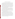### **3.6 CEM Performance Monitoring Procedures**

The test facility shall be operated continuously during the entire period of performance monitoring and shall not be shut down overnight. At the beginning of each test day, the CEMs undergoing testing shall be supplied with zero gas and then with a commercial compressed gas standard containing Hg°. The response to each gas shall be recorded on each test day to assess the zero and calibration drift of the CEMs. On one test day in each week of testing, the rise and fall times of the CEMs shall be determined to assess response time by recording their readings as the mercury calibration gas is first turned on, and later turned off. Also on one day in each week of testing, the mercury calibration gas standards shall be delivered first directly to the CEM mercury analyzer, and then through the CEM sample interface, to assess sampling system bias and calibration error introduced by the interface itself.

After the CEMs have been challenged with the calibration gas standards, they shall extract flue gas from the stack in preparation for conducting reference method measurements. Waste feeds shall be fed to the test facility incinerator for at least 30 minutes before initiating reference method sampling. The CEMs shall begin recording data as soon as they are brought on-line. However, the reference method sampling will start no sooner than a time previously agreed upon with the CEM vendors. The CEM vendors shall be given at least 15 minutes notice prior to initiation of reference method sampling.

OH method sampling shall be performed while burning liquid, solid, and/or a combination of liquid and solid waste. Testing shall be done at a low and high mercury stack concentration, approximately 10  $\mu$ g/dscm and 60  $\mu$ g/dscm, respectively. Mercury stack concentrations shall be varied by varying the waste feed rate, by injecting mercury solutions into the waste feeds, or by a combination of both. Injection of mercury is an alternative that shall be used as necessary depending on the levels of mercury in the wastes. The waste feeds to be used for the test shall be selected based on realism and availability and will not be determined until the time of testing draws near. An attempt shall be made to select liquid waste that generates a steady, constant level of mercury in the stack and solid waste that produces intermittent spikes of mercury due to the batch-wise nature of solid waste feeds.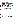Reference method measurements shall be made using paired sampling trains located at a point in the stack near the CEM probes that would be expected to have the same mercury concentrations as the point at which the CEM probes are placed. The reference method sampling time shall be at least three hours with the low mercury levels and at least two hours with the higher mercury levels or of a duration that will ensure detectable levels of mercury. A total of 10 test runs using paired sampling trains shall be conducted during each week of performance monitoring. A summary of the reference method sampling events planned is provided in Table 3. To ensure that the reference method and CEM data sets are parallel and comparable for each performance monitoring period, the CEM vendors shall be notified of the start and stop times of each reference method period so that average analyte concentrations corresponding directly to the reference method measurement period can be reported.

|     | <b>Stack Mercury</b> |                    | <b>Sample</b><br>Time |
|-----|----------------------|--------------------|-----------------------|
|     | <b>Concentration</b> | <b>No. of Test</b> |                       |
| Day | $(\mu$ g/dscm $)$    | <b>Runs</b>        | $(\mathbf{hr})$       |
|     |                      |                    |                       |
|     |                      |                    |                       |
|     |                      |                    |                       |
|     |                      |                    |                       |

**Table 3. Requirements for Paired Train Ontario Hydro Sampling** 

The OH sampling trains shall sample isokinetically and traverse the stack at points determined by EPA Method 1. The CEMs undergoing testing will sample at a single (fixed) point in the stack. Each CEM will operate with an extraction probe provided by the vendor. As necessary, the CEM probes shall be connected to their respective analyzers by means of a heated sample line maintained at a temperature specified by the vendor.

### **3.7 Unattended Operation**

Between the initial and final week of performance monitoring, the vendor representatives shall leave the site and a trained field technician shall assume routine operation, calibration, and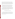maintenance of the CEMs. The CEMs will be challenged with the mercury calibration gas standards during this period to confirm that the CEMs are continuing to respond properly. Calibration and zero drift checks will be made as often as possible, while assuring that sufficient calibration gas is available to complete the final week of testing. Routine maintenance checks will be made according to a documented schedule and checklist determined by each CEM vendor.

Should problems arise with the CEMs, the field technician shall first attempt to troubleshoot the problem either alone or with instructions from the vendor by telephone, fax, or e-mail. If the field technician is unsuccessful in resolving the problem, then the vendor representative shall be requested to visit the site to investigate and resolve the problem.

Information shall be recorded to document the reliability and performance of the CEMs during the unattended operational period. The information recorded may include the extent of operational down time; the support and maintenance requirements, including labor hours and costs; the expendable supplies required; the extent of CEM drift or adjustments needed; and the effort required from the manufacturer to resolve any problems.

### **4 DATA GENERATION AND CALCULATIONS**

Measurement results from both the reference method and the mercury CEMs to be evaluated shall be reported in units of  $\mu$ g/dscm at 7% O<sub>2</sub> (i.e.,  $\mu$ g/m<sup>3</sup> on a dry basis, corrected to  $20^{\circ}$ C and 7% O<sub>2</sub>). The following paragraphs describe how the data shall be generated and what calculations shall be made to assess the performance of the CEMs. A summary of the data requirements is provided in Table 4.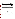| <b>Performance Parameter</b>       | Objective                                                                                     | <b>Comparison Based On</b>                                                                               |  |
|------------------------------------|-----------------------------------------------------------------------------------------------|----------------------------------------------------------------------------------------------------------|--|
| Relative Accuracy                  | Determine degree of quantitative<br>agreement with reference method                           | Reference method results                                                                                 |  |
| Correlation                        | Determine degree of correlation<br>with reference method                                      | Reference method results                                                                                 |  |
| Precision                          | Determine repeatability of<br>successive measurements at fixed<br>mercury levels              | Repetitive measurements under<br>constant facility conditions<br>Repetitive mercury standard<br>sampling |  |
| Calibration/Zero Drift             | Determine stability of zero gas<br>and span gas response                                      | Zero gas and Hg <sup>o</sup> standards                                                                   |  |
| Relative Calibration/Zero<br>Drift | Determine relative response to<br>zero gas and span gas over<br>successive days               | Zero gas and Hg <sup>o</sup> standards                                                                   |  |
| <b>Sampling System Bias</b>        | Determine effect of the CEM's<br>sample interface on response to<br>zero gas and Hg° standard | Response to zero gas and Hg <sup>o</sup><br>standards at analyzer vs. through<br>sample interface        |  |
| <b>Calibration Error</b>           | Determine effect of the CEM's<br>sample interface on response to<br>zero gas and Hg° standard | Response to zero gas and Hg <sup>o</sup><br>standards through sample<br>interface                        |  |
| Response Time                      | Estimate rise and fall times of the<br><b>CEMs</b>                                            | CEM results at start/stop of Hg<br>addition                                                              |  |

**Table 4. Data Requirements for Mercury CEM Performance Evaluation** 

### **4.1 Relative Accuracy**

Relative accuracy (RA) shall be verified by comparing the CEM results against the reference results for each parameter that the CEM measures. The OH method results shall be reviewed before performing statistical calculations to identify individual outliers from the full set of reference method results. The OH results shall be screened for precision of results from colocated sampling trains. OH test results identified as outliers shall be reported, but may not be used for performance evaluation. The intent of this approach is to provide a valid set of reference data for evaluation purposes, while also illustrating the degree of variability of the reference method. Identification of outliers shall be based on statistical tests such as a t-test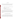comparison of means or a Q-test evaluation of divergent results. In any case where rejection of a reference result is suggested, effort shall be made to find a cause for the divergent result.

The RA of the CEMs with respect to the reference method shall be calculated using

### where

|  | $=$ arithmetic mean of the differences, d, of the paired CEM and reference method |
|--|-----------------------------------------------------------------------------------|
|  | results                                                                           |

 $\overline{R}_{RM}$  = arithmetic mean of the reference method result

n = number of data points

 $t_{0.975}$  = the t-value at the 97.5% confidence with n-1 degrees of freedom

SD = standard deviation of the paired CEMs and the reference results.

RA shall be calculated separately for each parameter measured by each CEM. Depending on the number of OH reference method samples that are available for determining RA, the RA procedure specified in PS-12 may be used to exclude up to three of the results from the RA calculation. The impact of the number of data points (n) on the RA value shall be discussed in the data report.

### **4.2 Correlation with Reference Method Results**

Correlation of the CEM with the OH method results shall be calculated using the same data used to assess RA. Correlation shall be calculated for each parameter measured by the CEM. The coefficient of determination  $(r^2)$  shall be calculated to determine the degree of correlation of each CEM with the reference method results. Coefficient of determination is the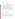square of the correlation coefficient (r). The coefficient of determination shall be calculated for each parameter measured by each CEM to be evaluated.

### **4.3 Precision**

Precision of the CEMs shall be assessed based on the individual measurements performed by each CEM over the duration of applicable OH method sampling runs. For example, if a CEM provides an updated measurement every five minutes, then a total of 12 readings would be obtained over a one-hour sampling run. The average and standard deviation of those readings shall be calculated to assess precision. This procedure shall be applied to all applicable OH method sampling intervals during times of stable incinerator operation.

Precision (P) of the CEMs to be evaluated shall be determined by calculating the percent relative standard deviation (RSD) of a series of CEM measurements made during stable operation of the test facility incinerator, with mercury injected at a constant level into the combustion zone. During each reference method sampling run, all readings from each CEM shall be recorded. RSD is the ratio of standard deviation of those readings over the mean of the readings,

where

$$
P = RSD = \frac{SD}{\overline{X}} \times 100
$$

*SD* = standard deviation of the readings from the CEM

 $\overline{X}$  = mean of the CEM readings.

Precision shall be calculated for each CEM using data from every reference method sampling run. The calculated precision values include all sources of variability (e.g., test facility incinerator fluctuations, instability in mercury injection), and not just the CEM variability. Any known variability of the test facility and the CEMs shall be reported with the calculated precision. All CEM data from the periods of precision testing shall be reviewed to determine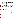whether the consensus of the CEM data indicates a variation in the test facility itself. An additional precision assessment may be made by sampling a mercury standard from the probe inlet for one hour. These repeated measurements may be reported along with the precision assessment made from measuring the flue gases.

### **4.4 Sampling System Bias**

The sampling system bias shall be tested as part of the calibration/zero drift procedure in each week of performance evaluation. Sampling system bias (B) reflects the difference in CEM response when sampling mercurystandard gas through the CEM's entire sample interface, compared with sampling the same gas directly at the CEM's pollutant analyzer, i.e.

$$
B = \frac{R_i - R_d}{R_d} \times 100
$$

where

 $R_i$  = CEM's reading when the standard gas is supplied at the sampling inlet, and  $R_d$  = CEM's reading when the standard is supplied directly to the analyzer.

### **4.5 Calibration and Zero Drift**

If the composition of the mercury standard gas is accurately known and stable, the following procedure should be used to evaluate calibration and zero drift. Calibration and zero drift shall be determined based on challenging the CEMs with zero gas and with a compressed gas standard of Hg° on each test day in each week of the performance evaluation. Calibration and zero drift checks also shall be done periodically during the unattended operational period between the initial and final weeks of performance monitoring. Calibration drift (CD) describes the difference in the mercury CEM's output readings from the established reference value after a stated period of operation during which no unscheduled maintenance, repair, or adjustment took place.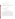where

 $R_{\text{CEM}}$  = CEM response

 $R_V$  = reference value of the calibration standard.

Zero drift (ZD) represents the difference in the mercury CEM's output readings for zero input after a stated period of operation during which no unscheduled maintenance, repair, or adjustment took place.

$$
ZD = \frac{(R_{CEM} - R_V)}{R_{EM}} \times 100
$$

where

 $R_{\text{CEM}}$  = CEM response for zero input

 $R_V$  = reference response for zero input

 $R_{EM}$  = emission limit.

### **4.6 Relative Calibration and Zero Drift**

Since mercury calibration gas standards have not been widely used, their absolute quantitation for assessing accuracy of mercury CEMs has not been universally accepted at this time. Section 5.2 describes the validation procedure to be used to test the stability of the mercury calibration gas standards. Depending on the stability of the mercury standards, it may not be appropriate to use them as absolute calibration standards. With this in mind, an alternative method of evaluating calibration and zero drift in a relative sense also may be used, rather than as deviations from an absolute standard. That is, calibration and zero drift shall be reported in terms of the mean, RSD, and range (maximum and minimum) of the readings obtained from the CEM in the daily sampling of the same Hg° standard gas and of zero gas. The RSD shall be calculated as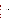where  $\overline{X}$  is the mean and SD the standard deviation of the daily readings on standard or zero gas. This calculation, along with the range of the data, shall indicate the variation in zero and standard readings from day to day, from week to week, and from the start of the verification test to the end.

### **4.7 Calibration Error**

Another way to express sampling system bias is by means of the calibration error. Calibration error (CE) is used to determine the difference between the concentration measured by the CEM and the known concentration generated by a calibration source when the entire CEM (including the sample interface) is challenged, where

$$
CE = \frac{d}{R_v} \times 100
$$

 $d =$  difference of the paired data points from the CEM and the reference method  $R_V$  = reference concentration value.

The above procedure is applicable only if the mercury standard gas is accurately known and stable.

### **4.8 Response Time**

The response time refers to the time interval between the start of a step change in mercury input and the time when the CEM reading has reached 95% of the final value. Both rise and fall times shall be determined. CEM response times shall be obtained, in conjunction with a calibration/zero drift check or sampling system bias check, by starting or stopping delivery of the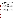mercurystandard gas to the CEM analyzer or sampling interface, recording all readings until stable readings are obtained, and then estimating the 95% response time. For those CEMs whose measurement process is not truly continuous, the estimation process shall require interpolating between successive readings.

### **4.9 Data Completeness**

No additional test activities shall be required to determine the data completeness achieved by the CEMs. Data completeness shall be assessed by comparing the data recovered from each CEM with the amount of data that would be recovered upon completion of all portions of these test procedures.

### **4.10 Operational Factors**

Setup and maintenance needs shall be documented qualitatively, through both observation and communication with the vendors during the test. Factors to be noted include the frequency of scheduled maintenance activities, the down time of the CEM, and the staff time needed for maintaining it during the verification test. Table 5 is an example of a table showing down time and service time for the CEMs being tested.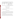**Table 5. Example Table Showing Extent of Down Time and Service Time for CEMs** 

| Date    | <b>Down Time</b> | <b>Service Time</b> | <b>Activity</b>                                                                              |
|---------|------------------|---------------------|----------------------------------------------------------------------------------------------|
| 8/12/03 | 45 minutes (min) | $15 \text{ min}$    | Adjusted the range for measurements.                                                         |
| 8/13/03 | 1 hour $(hr)$    | 1 <sub>hr</sub>     | Prepared reagents. Changed out reagent<br>containers.                                        |
| 8/19/03 | $10 \text{ min}$ | $10 \text{ min}$    | Per vendor's instructions, performed<br>troubleshooting to investigate cause of low<br>flow. |

### **5 MATERIALS AND EQUIPMENT**

### **5.1 High Purity Nitrogen/Air**

The high purity gas used for zeroing the CEMs shall be commercial ultra-high purity (i.e., minimum 99.999% purity) air or nitrogen.

### **5.2 Mercury Standard Gases**

Compressed gas standards containing Hg° shall be obtained from a suitable supplier for use in assessing drift. These shall consist of Hg<sup>o</sup> in a nitrogen matrix, at levels of about 1 ppb (8)  $\mu$ g/m<sup>3</sup>) and 5 ppb (40  $\mu$ g/m<sup>3</sup>). Multiple cylinders of uniform concentration shall be obtained to meet the gas consumption rates of the CEMs during testing. The gas supplier shall determine the concentrations of the gas standards.

As a result of uncertainties with respect to compressed gas standard stability and instrument drift, a procedure has been developed to audit the stability of the compressed gas standards prior to beginning the verification test, during the test, and at the end of the test. The objective of the audit process shall be to identify any drift in the stability of the compressed gas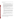standards independently of the drift that also may occur within the actual CEMs. The procedure consists of the following tasks:

- The gas supplier shall provide the cylinders of compressed gas standards. These shall be analyzed at the gas supplier's facility using its standard procedure.
- Upon receipt of all compressed gas cylinders at the test facility site, the response of all cylinders shall be measured by an independent mercury analyzer. The ratio of the response of each cylinder shall be compared with the ratio of the values of the concentrations provided by the gas supplier. The intent of this step is to ensure that all cylinder concentrations are in the same relative proportion as the values provided by the gas supplier. This shall also establish a control that can be repeated periodically to ensure that the standards remain stable or, if they do not, that the rate of degradation has been established.
- Each cylinder shall be taken out of service at a predetermined final cylinder pressure with sufficient gas remaining to conduct the following tests:
	- Analysis of the cylinder by the independent analyzer at the date that the cylinder is taken out of service—this shall determine the cylinder concentration at the end of its service.
	- If a cylinder is taken out of service early in the verification test (i.e., after the initial performance monitoring), it shall remain at the site until a shipment of cylinders is ready to be returned to the gas supplier. Prior to shipment, cylinders stored for extended periods of time will again be analyzed by the independent analyzer.
	- Upon return to the gas supplier, each cylinder's final response and calibration value shall be determined using the gas supplier's mercury analyzer.
- Data analysis shall be conducted on all cylinder response values obtained to determine the stability of the gases and to determine the degradation rate, if any, that has occurred during the test.

This procedure ensures that the degradation rate can be quantified both as a function of time and as a function of quantity of gas remaining in the cylinder. The information shall be used to factor out any effects of calibration gas stability from the analyses associated with CEM response, drift, and other required performance analyses.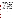The compressed gas cylinders shall be located near the CEM instrument cabinets for ease of access while performing calibrations and kept at room temperature while in use to ensure uniform gas concentration throughout the test. Cylinders may be stored outdoors before testing or while waiting for return shipment to the gas supplier.

### **5.3 Mercury Injection for Adjusting Mercury Levels in Waste Feeds**

The mercury solutions used to inject mercury into the waste feed lines for reaching target concentrations of mercury in the stack shall be aqueous solutions of mercury (II) acetate. The solutions shall be injected into the waste feed lines downstream of the mass flow meters and upstream of the waste feed cut-off valves. A dedicated pumping system shall control and record the injection rate of the solution into the waste feed line. In terms of performance evaluation, while mercury injection solution concentrations and feed rates aid in establishing the appropriate flue gas mercury concentrations, the actual flue gas mercury content shall be determined by OH reference method sampling, and not by calculation of the injected mercury.

### **5.4 Mercury Spiking Standard for Reference Method Performance Evaluation**

A National Institute of Standards and Technology (NIST)-traceable aqueous mercury standard, obtained from a commercial supplier, shall be used as the spiking solution in the performance evaluation of the reference method.

### **5.5 Sampling Trains Handling and Tracking**

Multiple trains shall be prepared each day so that as many as six trains (i.e., three sampling runs with two trains each) may be sampled in a single day, in addition to at least one blank train. Samples from OH method trains shall be recovered in a laboratory facility. Containers for collecting and storing samples shall be purchased and labeled for tracking by an analytical laboratory and subsequently supplied to the field sampling team. Request for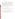analysis/chain of custody (RFA/COC) forms afford the necessary documentation to record sample possession from the time of collection by the testing staff through analysis by the laboratory. Specifications for the analysis of these samples and special instructions to the laboratory also are included on the RFA/COCs. The testing staff shall track the samples using a numbering system provided by the analytical laboratory for numbering and tracking samples. The original RFA/COC form shall remain with the sample at all times.

Samples shall be packaged and delivered by the testing staff from the field to the analytical laboratory. RFA/COC forms and samples shall be directly delivered to laboratory personnel, who shall review and confirm the samples in the presence of field sampling team personnel prior to acceptance by the laboratory.

### **5.6 Analysis Equipment**

Laboratory equipment shall include all chemicals and solutions for rinsing train components and recovering impinger samples, as well as equipment for mercury determination.

### **5.7 Miscellaneous Materials and Equipment**

Other materials, equipment, and support services needed to complete the verification test include calibration gas regulators, heated sample lines, tubing, telephone connection in the laboratory trailer, photography, and report publication services.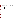### **6 QUALITY ASSURANCE/QUALITY CONTROL**

### **6.1 Equipment Calibrations**

### **6.1.1 Incinerator Monitoring Equipment**

The equipment that provides measurements for operation of the incinerator, verification of permit compliance, and determination of the reference method results requires compliancelevel calibration procedures. Such measurements include waste feed rates, combustion chamber temperatures, off-gas scrubber liquid flows, and stack  $O_2$ , CO, and  $CO_2$  content. Calibration procedures, along with calibration schedules, must be in place and followed during the field test. Calibration results shall be made available if requested for auditing purposes.

### **6.1.2 Reference Method**

Reference method sampling must be performed according to the QA/QC requirements stated in the draft OH standard test method.<sup>(3)</sup> Examples of such requirements include use of blank sampling trains and blank sampling materials, such as filters and reagent solution blanks. QA/QC activities shall be recorded.

### **6.1.3 Analytical Laboratory**

Calibration records for the mercury analysis equipment shall be included with the analytical results. Calibration approaches for the mercury analysis shall be as specified in Sections 8.9 and 12.2 of the OH method, and calibrations shall be documented in the same way as are continuing calibration procedures.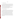### **6.2 Audits**

### **6.2.1 Technical Systems Audits**

Battelle's Quality Manager shall perform a TSA once during the verification test. The purpose of this TSA is to ensure that the verification test is being performed in accordance with this protocol, the test/QA plan, the Battelle AMS Center  $QMP<sub>i</sub><sup>(1)</sup>$  and all associated methods and standard operating procedures. In this audit, the Battelle Quality Manager will review the calibration sources and reference methods used, compare actual test procedures to those specified in this protocol, and review data acquisition and handling procedures.

At EPA's discretion, EPA QA staff also may conduct an independent TSA of the verification test. In any case, EPA QA staff will review Battelle's TSA report and provide comments on the findings and actions presented in that report.

### **6.2.2 Performance Evaluation Audit**

A performance evaluation (PE) audit shall be conducted to ensure that OH reference method sampling equipment and incinerator stack monitoring instrumentation used for producing reference method results provide quality measurements. Table 6 shows the key measurements that may be audited. As can be seen from Table 6, the audit shall be conducted by comparing data from the reference method sampling train or incinerator with that from an independent analyzer or monitor, operated simultaneously and sampled at the same point in the duct.

This audit shall be the responsibility of Battelle staff. Battelle will supply the staff and equipment needed to make the independent audit measurements. If agreement outside the indicated tolerance is found, the test shall be repeated. Further failure to achieve agreement will result in use of a different independent measurement device. If adequate agreement between independent measurements cannot be reached, the affected reference data shall be flagged in the data analysis and reports.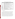| l                             |  |
|-------------------------------|--|
| I<br>I                        |  |
| I                             |  |
| I<br>I<br>I<br>I              |  |
| ۱<br>I<br>۱                   |  |
| l                             |  |
| η<br>I<br>H                   |  |
| ı                             |  |
| $\overline{\phantom{a}}$<br>ı |  |
| I<br>I                        |  |
| l                             |  |
| C                             |  |
| I                             |  |
| l<br>I                        |  |
|                               |  |
| <u>ן</u>                      |  |
|                               |  |

| <b>Parameter</b>                     | <b>Audit Method</b>                                                                                                       | <b>Expected Tolerance</b>                  |
|--------------------------------------|---------------------------------------------------------------------------------------------------------------------------|--------------------------------------------|
| O <sub>2</sub>                       | Compare with independent $O_2$ measurement, operated<br>simultaneously and sampled at the same point of the<br>duct       | $\pm 1\%$ O <sub>2</sub>                   |
| CO <sub>2</sub>                      | Compare with independent $CO2$ measurement, operated<br>simultaneously and sampled at the same point of the<br>duct       | $\pm 10\%$ of CO <sub>2</sub> reading      |
| Temperature                          | Compare with independent temperature measurement,<br>operated simultaneously and sampled at the same point<br>in the duct | $\pm 2\%$ absolute<br>temperature          |
| Barometric<br>Pressure               | Compare with independent pressure measurement,<br>operated simultaneously and sampled at the same point<br>in the duct    | $\pm 0.5$ inch of H <sub>2</sub> O         |
| Flue Gas<br>Differential<br>Pressure | Compare with independent pressure measurement,<br>operated simultaneously and sampled at the same point<br>in the duct    | $\pm 0.5$ inch of H <sub>2</sub> O         |
| <b>OH</b> Gas Flow<br>Rate           | Compare with independent flow measurement, operated<br>simultaneously on the same flow                                    | 5%                                         |
| Mass $(H2O)$                         | Check balance with calibrated weights                                                                                     | $\pm 1\%$ or 0.5 g,<br>whichever is larger |
| <b>OH</b> Method                     | Spike one sampling train in each week of OH sampling<br>using an NIST-traceable mercury solution                          | $\pm 10\%$                                 |

### **Table 6. Summary of Performance Evaluation Audits**

### **6.2.3 Data Quality Audit**

The Battelle Quality Manager shall audit at least 10% of the verification data acquired in the verification test. The Battelle Quality Manager shall trace the data from initial acquisition, through reduction and statistical comparisons, to final reporting. The data quality audit will determine that data are in conformance with all aspects of the protocol, applicable Quality Management Plan, reference method, and any applicable standard operating procedures. The audit shall include recalculation of representative reported data values, comparison of the QC data to the data quality criteria specified in the protocol, and verification that instrumentation and equipment were calibrated and operated as appropriate. The data shall then be compared to the results in the report to ensure exactitude of data reporting. The audit shall examine how the data were handled, what judgments were made, and whether uncorrected mistakes were made.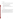### **6.2.4 Audit Reports**

All Battelle audits shall be documented in accordance with Section 3.3.4 of the Quality Management Plan for the AMS Center.<sup>(1)</sup> An audit report shall include the following sections:

- Identification of any adverse findings or potential problems
- Space for response to adverse findings or potential problems
- Possible recommendations for resolving problems
- Citation of any noteworthy practices that may be of use to others
- Confirmation that corrective actions (if necessary) have been implemented and are effective.

### **6.2.5 Corrective Action**

The Battelle Quality Manager, during the course of any assessment or audit, shall identify to the technical staff performing experimental activities any immediate corrective action that should be taken. If serious quality problems exist, the Battelle Quality Manager is authorized to stop work. Once the assessment report has been prepared, the Battelle Verification Test Coordinator, working with the test facility as necessary, shall ensure that a response is provided for each adverse finding or potential problem and implement any necessary follow-up corrective action. The Battelle Quality Manager shall ensure that follow-up corrective action has been taken.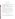### **7 DATA ANALYSIS AND REPORTING**

### **7.1 Data Acquisition**

Data gathered during the field evaluation can be divided into three categories: reference method data, mercury CEM data, and process operational data, such as combustion source conditions, test temperatures, the times of test activities, etc. Table 7 lists the types of data to be recorded, recording frequency, and responsible party.

Mercury CEM response data shall be recorded by a dedicated data logger. The CEM vendors shall be responsible for reviewing and validating their respective CEM response data at the end of each RA test day. The vendors must include all individual readings of all tests conducted on that day.

Other data shall be recorded either in laboratory record books or in standard data sheets provided by the analytical laboratory. These records shall be reviewed on a daily basis to determine the validity of the sampling runs and resolve any inconsistencies. All written records must be in ink. Any corrections to notebook entries, or changes in recorded data, must be made with a single line through the original entry. The correction is then to be entered, initialed, and dated by the person making the correction. The majority of the data shall be input to validated computer spreadsheets.

In all cases, strict confidentiality of data from each vendor's CEM, and strict separation of data from different CEMs, shall be maintained. Separate files (including manual records, printouts, and/or electronic data files) shall be kept for each CEM.

### **7.2 Data Validation**

Records generated in this test shall be reviewed within two weeks after generation and before those records are used to calculate, evaluate, or report verification results. Those records may include laboratory record books, operating data from the test facility, data from the CEMs,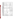# US EPA ARCHIVE DOCUMENT

| Data to be Recorded    | Responsible<br>Party | <b>Where Recorded</b>  | Recording Frequency                             | Disposition of Data                           |
|------------------------|----------------------|------------------------|-------------------------------------------------|-----------------------------------------------|
|                        |                      |                        | Start and end of each                           | Used to organize/check test                   |
| Dates and times of     |                      | Laboratory record      | test, and every time a                          | results:                                      |
| test events            | Testing staff        | books                  | test parameter is                               | Manually incorporated in data                 |
|                        |                      |                        | changed                                         | spread sheets as necessary                    |
| Operating parameters   |                      |                        |                                                 |                                               |
| such as waste feed     |                      |                        |                                                 | Used to organize/check test                   |
| rates, combustion      | Test facility        |                        | Continuous at set                               | results;                                      |
| chamber                |                      | data logger            | acquisition rate                                | Manually incorporated in data                 |
| temperatures, flue gas |                      |                        |                                                 | spreadsheets as necessary                     |
| composition, etc.      |                      |                        |                                                 |                                               |
| Mercury gas            |                      | Laboratory record      | When received from                              | Manually entered into                         |
| standards              | Testing staff        | books                  | manufacturer                                    | spreadsheets                                  |
| Mercury CEM            | Vendor or            |                        |                                                 |                                               |
| readings               | Testing staff        |                        |                                                 |                                               |
| - digital display      |                      | Data sheets            | At specified points                             | Used to validate the electronic               |
| printout               |                      |                        | during each test                                | record                                        |
|                        |                      |                        | Continuously at                                 |                                               |
| - electronic output    |                      | Dedicated data logger  | rate through each test<br>specified acquisition | Electronically transferred to<br>spreadsheets |
|                        |                      | Laboratory record      |                                                 | Used to organize/check test                   |
| Reference method       |                      | books, data sheets, or | Throughout reference                            | results; manually incorporated                |
| sampling data          | Testing staff        | data acquisition       | method sampling                                 | in data spreadsheets as                       |
|                        |                      | system, as appropriate |                                                 | necessary                                     |
| Reference method       |                      | Laboratory record      | Throughout sample                               |                                               |
| sample analysis.       | Testing staff        | books, data sheets, or | handling and analysis                           | Transferred to spreadsheets                   |
| chain of custody and   |                      | data acquisition       | process                                         |                                               |
| results                |                      | system, as appropriate |                                                 |                                               |

Table 7. Summary of Data Recording Process **Table 7. Summary of Data Recording Process**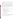or reference analytical results. The person doing this review will document it by adding his or her initials and the date to a hard copy of the record and returning that record to the person who generated or is storing it.

 All data acquired during the verification test shall be reviewed against a set of established criteria to provide a level of assurance of its validity prior to use. All measurement data shall be validated based on process conditions during sampling or testing, adherence to prescribed sampling, testing and QA procedures, consistency with expected and/or reference results, and other test-specific acceptance criteria. The data shall be labeled as valid or invalid based on how well it meets these criteria. The QC criteria for data validation include consistency, duplicate sample calibrations, tests for outliers, transmittal error, and uncertainty analysis.

Data validation shall be conducted by the following means:

- Field checks of raw and reduced data
- Standard analytical laboratory QC checks, including those specifically called for by the OH method
- QA audits on overall testing and sampling procedures
- Comparison of summary tables with raw data
- Comparison of actual results with expected results
- Determination of consistency of results among multiple measurements at the same location
- Review of all input to spreadsheets
- Verification of calculation results
- Review of draft and final reports.

Any data that become invalid through data validation shall be discussed in the data report in conjunction with the reason for disqualifying the data. Examples of such reasons include suspected sample contamination and drift data exceeding acceptance criteria.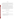### **7.3 Reporting**

Data collected during calibration, comparisons with reference method measurements, and routine unattended operation between performance monitoring shall be evaluated using the parameters in Section 4.0 to assess the performance of each of the monitoring systems. After the data have been assimilated, each of the vendors shall have an opportunity to review and comment on the results of their respective monitor's performance.

Separate verification reports shall be prepared, each addressing a CEM provided by one commercial vendor. Each verification report shall present the test procedures and test data, as well as the results of the statistical evaluation of those data. The draft verification reports shall be submitted to EPA project management, QA staff, and the CEM vendors for review. The verification reports and draft data report shall be revised, based on all review comments received. The ETV verification reports shall then undergo a second round of review by EPA and external peer reviewers. Following revisions based on those reviews, the ETV verification reports and verification statements shall be submitted to EPA for final approval.

### **8 HEALTH AND SAFETY**

All participants in the verification test shall adhere to the health and safety requirements of the test facility.

### **9 REFERENCES**

- 1. Quality Management Plan for the ETV Advanced Monitoring Systems Center, Version 4.0, Battelle, Columbus, Ohio, December 4, 2002.
- 2. Proposed Performance Specification 12 for Total Mercury Emission Monitoring Systems, U.S. EPA, Washington, D.C., April 19, 1996.